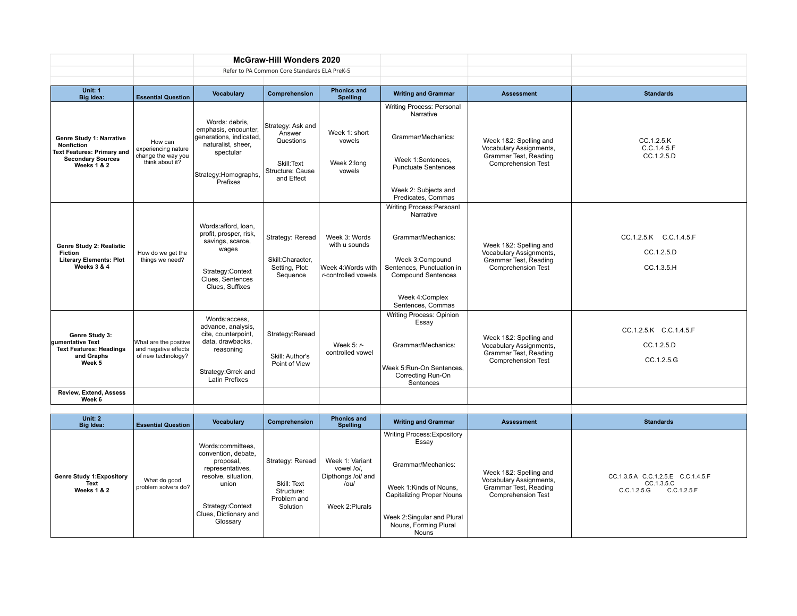|                                                                                                                               |                                                                         |                                                                                                                                             | <b>McGraw-Hill Wonders 2020</b>                                                          |                                                                             |                                                                                                                                                                                   |                                                                                                         |                                                    |
|-------------------------------------------------------------------------------------------------------------------------------|-------------------------------------------------------------------------|---------------------------------------------------------------------------------------------------------------------------------------------|------------------------------------------------------------------------------------------|-----------------------------------------------------------------------------|-----------------------------------------------------------------------------------------------------------------------------------------------------------------------------------|---------------------------------------------------------------------------------------------------------|----------------------------------------------------|
|                                                                                                                               |                                                                         |                                                                                                                                             | Refer to PA Common Core Standards ELA PreK-5                                             |                                                                             |                                                                                                                                                                                   |                                                                                                         |                                                    |
| Unit: 1<br><b>Big Idea:</b>                                                                                                   | <b>Essential Question</b>                                               | Vocabulary                                                                                                                                  | Comprehension                                                                            | <b>Phonics and</b><br><b>Spelling</b>                                       | <b>Writing and Grammar</b>                                                                                                                                                        | <b>Assessment</b>                                                                                       | <b>Standards</b>                                   |
| Genre Study 1: Narrative<br><b>Nonfiction</b><br><b>Text Features: Primary and</b><br><b>Secondary Sources</b><br>Weeks 1 & 2 | How can<br>experiencing nature<br>change the way you<br>think about it? | Words: debris.<br>emphasis, encounter,<br>generations, indicated,<br>naturalist, sheer,<br>spectular<br>Strategy:Homographs,<br>Prefixes    | Strategy: Ask and<br>Answer<br>Questions<br>Skill:Text<br>Structure: Cause<br>and Effect | Week 1: short<br>vowels<br>Week 2:long<br>vowels                            | Writing Process: Personal<br>Narrative<br>Grammar/Mechanics:<br>Week 1:Sentences.<br><b>Punctuate Sentences</b><br>Week 2: Subjects and<br>Predicates, Commas                     | Week 1&2: Spelling and<br>Vocabulary Assignments,<br>Grammar Test, Reading<br><b>Comprehension Test</b> | CC.1.2.5.K<br>C.C.1.4.5.F<br>CC.1.2.5.D            |
| Genre Study 2: Realistic<br><b>Fiction</b><br><b>Literary Elements: Plot</b><br>Weeks $3 & 4$                                 | How do we get the<br>things we need?                                    | Words:afford, loan.<br>profit, prosper, risk,<br>savings, scarce,<br>wages<br>Strategy:Context<br>Clues. Sentences<br>Clues, Suffixes       | Strategy: Reread<br>Skill:Character,<br>Setting, Plot:<br>Sequence                       | Week 3: Words<br>with u sounds<br>Week 4: Words with<br>r-controlled vowels | Writing Process: Persoanl<br>Narrative<br>Grammar/Mechanics:<br>Week 3:Compound<br>Sentences. Punctuation in<br><b>Compound Sentences</b><br>Week 4: Complex<br>Sentences, Commas | Week 1&2: Spelling and<br>Vocabulary Assignments,<br>Grammar Test, Reading<br><b>Comprehension Test</b> | CC.1.2.5.K C.C.1.4.5.F<br>CC.1.2.5.D<br>CC.1.3.5.H |
| Genre Study 3:<br><b>Qumentative Text</b><br><b>Text Features: Headings</b><br>and Graphs<br>Week 5                           | What are the positive<br>and negative effects<br>of new technology?     | Words:access.<br>advance, analysis,<br>cite, counterpoint,<br>data, drawbacks,<br>reasoning<br>Strategy: Grrek and<br><b>Latin Prefixes</b> | Strategy:Reread<br>Skill: Author's<br>Point of View                                      | Week 5: $r-$<br>controlled vowel                                            | Writing Process: Opinion<br>Essay<br>Grammar/Mechanics:<br>Week 5:Run-On Sentences,<br>Correcting Run-On<br>Sentences                                                             | Week 1&2: Spelling and<br>Vocabulary Assignments,<br>Grammar Test, Reading<br><b>Comprehension Test</b> | CC.1.2.5.K C.C.1.4.5.F<br>CC.1.2.5.D<br>CC.1.2.5.G |
| Review, Extend, Assess<br>Week 6                                                                                              |                                                                         |                                                                                                                                             |                                                                                          |                                                                             |                                                                                                                                                                                   |                                                                                                         |                                                    |

| Unit: 2<br>Big Idea:                                    | <b>Essential Question</b>           | Vocabulary                                                                                                                                                         | Comprehension                                                            | <b>Phonics and</b><br><b>Spelling</b>                                          | <b>Writing and Grammar</b>                                                                                                                                                        | <b>Assessment</b>                                                                                       | <b>Standards</b>                                                               |
|---------------------------------------------------------|-------------------------------------|--------------------------------------------------------------------------------------------------------------------------------------------------------------------|--------------------------------------------------------------------------|--------------------------------------------------------------------------------|-----------------------------------------------------------------------------------------------------------------------------------------------------------------------------------|---------------------------------------------------------------------------------------------------------|--------------------------------------------------------------------------------|
| <b>Genre Study 1: Expository</b><br>Text<br>Weeks 1 & 2 | What do good<br>problem solvers do? | Words:committees.<br>convention, debate,<br>proposal,<br>representatives,<br>resolve, situation,<br>union<br>Strategy:Context<br>Clues, Dictionary and<br>Glossary | Strategy: Reread<br>Skill: Text<br>Structure:<br>Problem and<br>Solution | Week 1: Variant<br>vowel /o/.<br>Dipthongs /oi/ and<br>/ou/<br>Week 2: Plurals | Writing Process: Expository<br>Essay<br>Grammar/Mechanics:<br>Week 1:Kinds of Nouns.<br>Capitalizing Proper Nouns<br>Week 2:Singular and Plural<br>Nouns, Forming Plural<br>Nouns | Week 1&2: Spelling and<br>Vocabulary Assignments,<br>Grammar Test, Reading<br><b>Comprehension Test</b> | CC.1.3.5.A C.C.1.2.5.E C.C.1.4.5.F<br>CC.1.3.5.C<br>C.C.1.2.5.F<br>C.C.1.2.5.G |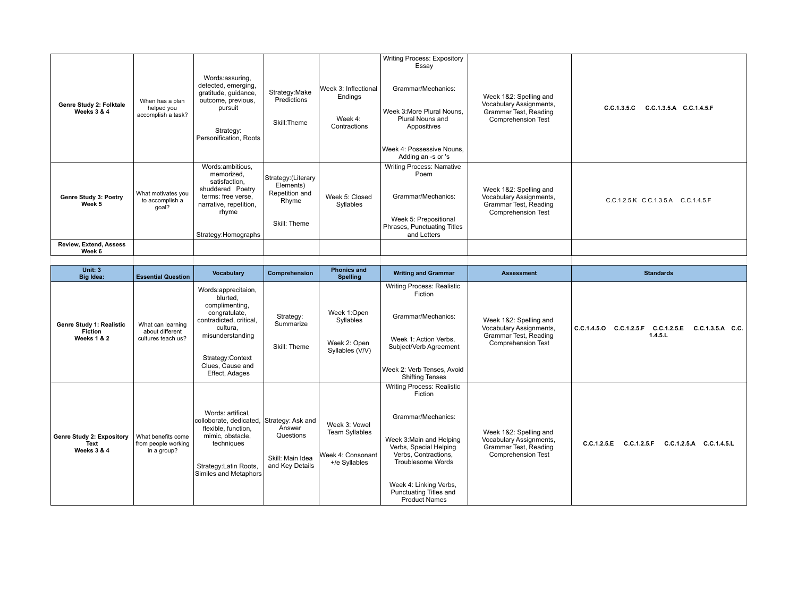| Genre Study 2: Folktale<br>Weeks 3 & 4                    | When has a plan<br>helped you<br>accomplish a task?        | Words:assuring,<br>detected, emerging,<br>gratitude, guidance,<br>outcome, previous,<br>pursuit<br>Strategy:<br>Personification. Roots              | Strategy: Make<br>Predictions<br>Skill:Theme                                | Week 3: Inflectional<br>Endings<br>Week 4:<br>Contractions | <b>Writing Process: Expository</b><br>Essay<br>Grammar/Mechanics:<br>Week 3: More Plural Nouns,<br>Plural Nouns and<br>Appositives<br>Week 4: Possessive Nouns,<br>Adding an -s or 's | Week 1&2: Spelling and<br>Vocabulary Assignments,<br>Grammar Test, Reading<br><b>Comprehension Test</b> | C.C.1.3.5.C C.C.1.3.5.A C.C.1.4.5.F                             |
|-----------------------------------------------------------|------------------------------------------------------------|-----------------------------------------------------------------------------------------------------------------------------------------------------|-----------------------------------------------------------------------------|------------------------------------------------------------|---------------------------------------------------------------------------------------------------------------------------------------------------------------------------------------|---------------------------------------------------------------------------------------------------------|-----------------------------------------------------------------|
| Genre Study 3: Poetry<br>Week 5                           | What motivates you<br>to accomplish a<br>goal?             | Words:ambitious,<br>memorized,<br>satisfaction,<br>shuddered Poetry<br>terms: free verse.<br>narrative, repetition,<br>rhyme<br>Strategy:Homographs | Strategy: (Literary<br>Elements)<br>Repetition and<br>Rhyme<br>Skill: Theme | Week 5: Closed<br>Syllables                                | <b>Writing Process: Narrative</b><br>Poem<br>Grammar/Mechanics:<br>Week 5: Prepositional<br>Phrases, Punctuating Titles<br>and Letters                                                | Week 1&2: Spelling and<br>Vocabulary Assignments,<br>Grammar Test, Reading<br>Comprehension Test        | C.C.1.2.5.K C.C.1.3.5.A C.C.1.4.5.F                             |
| Review, Extend, Assess<br>Week 6                          |                                                            |                                                                                                                                                     |                                                                             |                                                            |                                                                                                                                                                                       |                                                                                                         |                                                                 |
|                                                           |                                                            |                                                                                                                                                     |                                                                             |                                                            |                                                                                                                                                                                       |                                                                                                         |                                                                 |
| <b>Unit: 3</b><br><b>Big Idea:</b>                        | <b>Essential Question</b>                                  | Vocabulary                                                                                                                                          | Comprehension                                                               | <b>Phonics and</b><br><b>Spelling</b>                      | <b>Writing and Grammar</b>                                                                                                                                                            | <b>Assessment</b>                                                                                       | <b>Standards</b>                                                |
|                                                           |                                                            | Words:apprecitaion,<br>blurted.<br>complimenting,<br>congratulate,                                                                                  |                                                                             | Week 1:Open                                                | <b>Writing Process: Realistic</b><br>Fiction                                                                                                                                          |                                                                                                         |                                                                 |
| Genre Study 1: Realistic<br><b>Fiction</b><br>Weeks 1 & 2 | What can learning<br>about different<br>cultures teach us? | contradicted, critical,<br>cultura,<br>misunderstanding<br>Strategy:Context<br>Clues, Cause and<br>Effect, Adages                                   | Strategy:<br>Summarize<br>Skill: Theme                                      | Syllables<br>Week 2: Open<br>Syllables (V/V)               | Grammar/Mechanics:<br>Week 1: Action Verbs,<br>Subject/Verb Agreement<br>Week 2: Verb Tenses, Avoid<br><b>Shifting Tenses</b>                                                         | Week 1&2: Spelling and<br>Vocabulary Assignments,<br>Grammar Test, Reading<br><b>Comprehension Test</b> | C.C.1.4.5.O C.C.1.2.5.F C.C.1.2.5.E C.C.1.3.5.A C.C.<br>1.4.5.L |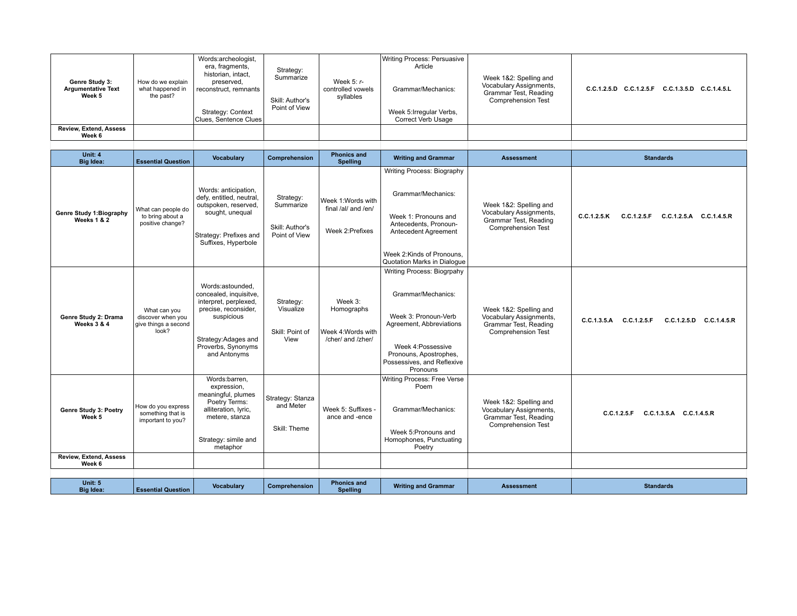| Genre Study 3:<br><b>Argumentative Text</b><br>Week 5 | How do we explain<br>what happened in<br>the past?                 | Words:archeologist,<br>era, fragments,<br>historian, intact,<br>preserved.<br>reconstruct, remnants<br>Strategy: Context<br>Clues, Sentence Clues                       | Strategy:<br>Summarize<br>Skill: Author's<br>Point of View | Week $5: r-$<br>controlled vowels<br>syllables                  | Writing Process: Persuasive<br>Article<br>Grammar/Mechanics:<br>Week 5: Irregular Verbs,<br>Correct Verb Usage                                                                                 | Week 1&2: Spelling and<br>Vocabulary Assignments,<br>Grammar Test, Reading<br><b>Comprehension Test</b> | C.C.1.2.5.D C.C.1.2.5.F C.C.1.3.5.D C.C.1.4.5.L    |
|-------------------------------------------------------|--------------------------------------------------------------------|-------------------------------------------------------------------------------------------------------------------------------------------------------------------------|------------------------------------------------------------|-----------------------------------------------------------------|------------------------------------------------------------------------------------------------------------------------------------------------------------------------------------------------|---------------------------------------------------------------------------------------------------------|----------------------------------------------------|
| <b>Review, Extend, Assess</b><br>Week 6               |                                                                    |                                                                                                                                                                         |                                                            |                                                                 |                                                                                                                                                                                                |                                                                                                         |                                                    |
|                                                       |                                                                    |                                                                                                                                                                         |                                                            |                                                                 |                                                                                                                                                                                                |                                                                                                         |                                                    |
| Unit: 4<br><b>Big Idea:</b>                           | <b>Essential Question</b>                                          | <b>Vocabulary</b>                                                                                                                                                       | Comprehension                                              | <b>Phonics and</b><br><b>Spelling</b>                           | <b>Writing and Grammar</b>                                                                                                                                                                     | <b>Assessment</b>                                                                                       | <b>Standards</b>                                   |
| Genre Study 1:Biography<br>Weeks 1 & 2                | What can people do<br>to bring about a<br>positive change?         | Words: anticipation,<br>defy, entitled, neutral,<br>outspoken, reserved,<br>sought, unequal<br>Strategy: Prefixes and<br>Suffixes, Hyperbole                            | Strategy:<br>Summarize<br>Skill: Author's<br>Point of View | Week 1:Words with<br>final /al/ and /en/<br>Week 2: Prefixes    | Writing Process: Biography<br>Grammar/Mechanics:<br>Week 1: Pronouns and<br>Antecedents, Pronoun-<br>Antecedent Agreement<br>Week 2:Kinds of Pronouns.<br>Quotation Marks in Dialoque          | Week 1&2: Spelling and<br>Vocabulary Assignments,<br>Grammar Test, Reading<br><b>Comprehension Test</b> | C.C.1.2.5.K<br>C.C.1.2.5.F C.C.1.2.5.A C.C.1.4.5.R |
| Genre Study 2: Drama<br>Weeks 3 & 4                   | What can you<br>discover when you<br>give things a second<br>look? | Words:astounded,<br>concealed, inquisitve,<br>interpret, perplexed,<br>precise, reconsider,<br>suspicious<br>Strategy: Adages and<br>Proverbs, Synonyms<br>and Antonyms | Strategy:<br>Visualize<br>Skill: Point of<br>View          | Week 3:<br>Homographs<br>Week 4:Words with<br>/cher/ and /zher/ | Writing Process: Biogrpahy<br>Grammar/Mechanics:<br>Week 3: Pronoun-Verb<br>Agreement, Abbreviations<br>Week 4: Possessive<br>Pronouns, Apostrophes,<br>Possessives, and Reflexive<br>Pronouns | Week 1&2: Spelling and<br>Vocabulary Assignments,<br>Grammar Test, Reading<br>Comprehension Test        | C.C.1.3.5.A C.C.1.2.5.F<br>C.C.1.2.5.D C.C.1.4.5.R |
| Genre Study 3: Poetry<br>Week 5                       | How do you express<br>something that is<br>important to you?       | Words:barren,<br>expression,<br>meaningful, plumes<br>Poetry Terms:<br>alliteration, lyric,<br>metere, stanza<br>Strategy: simile and<br>metaphor                       | Strategy: Stanza<br>and Meter<br>Skill: Theme              | Week 5: Suffixes -<br>ance and -ence                            | Writing Process: Free Verse<br>Poem<br>Grammar/Mechanics:<br>Week 5: Pronouns and<br>Homophones, Punctuating<br>Poetry                                                                         | Week 1&2: Spelling and<br>Vocabulary Assignments,<br>Grammar Test, Reading<br><b>Comprehension Test</b> | C.C.1.2.5.F C.C.1.3.5.A C.C.1.4.5.R                |
| Review, Extend, Assess<br>Week 6                      |                                                                    |                                                                                                                                                                         |                                                            |                                                                 |                                                                                                                                                                                                |                                                                                                         |                                                    |
|                                                       |                                                                    |                                                                                                                                                                         |                                                            |                                                                 |                                                                                                                                                                                                |                                                                                                         |                                                    |
| <b>Unit: 5</b><br><b>Big Idea:</b>                    | <b>Essential Question</b>                                          | <b>Vocabulary</b>                                                                                                                                                       | Comprehension                                              | <b>Phonics and</b><br><b>Spelling</b>                           | <b>Writing and Grammar</b>                                                                                                                                                                     | <b>Assessment</b>                                                                                       | <b>Standards</b>                                   |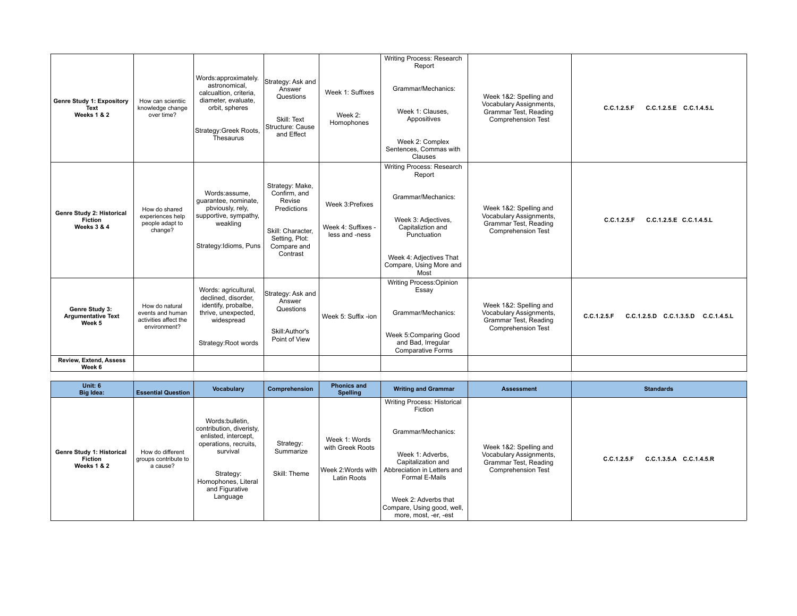| Genre Study 1: Expository<br>Text<br>Weeks 1 & 2           | How can scientiic<br>knowledge change<br>over time?                         | Words:approximately.<br>astronomical.<br>calcualtion, criteria,<br>diameter, evaluate,<br>orbit, spheres<br>Strategy: Greek Roots,<br>Thesaurus | Strategy: Ask and<br>Answer<br>Questions<br>Skill: Text<br>Structure: Cause<br>and Effect                                  | Week 1: Suffixes<br>Week 2:<br>Homophones                | Writing Process: Research<br>Report<br>Grammar/Mechanics:<br>Week 1: Clauses.<br>Appositives<br>Week 2: Complex<br>Sentences, Commas with<br>Clauses                               | Week 1&2: Spelling and<br>Vocabulary Assignments,<br>Grammar Test, Reading<br><b>Comprehension Test</b> | C.C.1.2.5.E C.C.1.4.5.L<br>C.C.1.2.5.F             |
|------------------------------------------------------------|-----------------------------------------------------------------------------|-------------------------------------------------------------------------------------------------------------------------------------------------|----------------------------------------------------------------------------------------------------------------------------|----------------------------------------------------------|------------------------------------------------------------------------------------------------------------------------------------------------------------------------------------|---------------------------------------------------------------------------------------------------------|----------------------------------------------------|
| Genre Study 2: Historical<br><b>Fiction</b><br>Weeks 3 & 4 | How do shared<br>experiences help<br>people adapt to<br>change?             | Words:assume.<br>quarantee, nominate,<br>pbviously, rely,<br>supportive, sympathy,<br>weakling<br>Strategy: Idioms, Puns                        | Strategy: Make,<br>Confirm, and<br>Revise<br>Predictions<br>Skill: Character,<br>Setting, Plot:<br>Compare and<br>Contrast | Week 3: Prefixes<br>Week 4: Suffixes -<br>less and -ness | Writing Process: Research<br>Report<br>Grammar/Mechanics:<br>Week 3: Adjectives,<br>Capitaliztion and<br>Punctuation<br>Week 4: Adjectives That<br>Compare, Using More and<br>Most | Week 1&2: Spelling and<br>Vocabulary Assignments,<br>Grammar Test, Reading<br><b>Comprehension Test</b> | C.C.1.2.5.E C.C.1.4.5.L<br>C.C.1.2.5.F             |
| Genre Study 3:<br><b>Argumentative Text</b><br>Week 5      | How do natural<br>events and human<br>activities affect the<br>environment? | Words: agricultural,<br>declined, disorder,<br>identify, probalbe,<br>thrive, unexpected,<br>widespread<br>Strategy:Root words                  | Strategy: Ask and<br>Answer<br>Questions<br>Skill:Author's<br>Point of View                                                | Week 5: Suffix -ion                                      | Writing Process: Opinion<br>Essay<br>Grammar/Mechanics:<br>Week 5:Comparing Good<br>and Bad, Irregular<br><b>Comparative Forms</b>                                                 | Week 1&2: Spelling and<br>Vocabulary Assignments,<br>Grammar Test, Reading<br><b>Comprehension Test</b> | C.C.1.2.5.F<br>C.C.1.2.5.D C.C.1.3.5.D C.C.1.4.5.L |
| Review, Extend, Assess<br>Week 6                           |                                                                             |                                                                                                                                                 |                                                                                                                            |                                                          |                                                                                                                                                                                    |                                                                                                         |                                                    |
|                                                            |                                                                             |                                                                                                                                                 |                                                                                                                            |                                                          |                                                                                                                                                                                    |                                                                                                         |                                                    |

| Unit: 6<br><b>Big Idea:</b>                         | <b>Essential Question</b>                            | Vocabulary                                                                                                                                                                 | Comprehension                          | <b>Phonics and</b><br><b>Spelling</b>                                  | <b>Writing and Grammar</b>                                                                                                                                                                                                                    | <b>Assessment</b>                                                                                       | <b>Standards</b>                       |
|-----------------------------------------------------|------------------------------------------------------|----------------------------------------------------------------------------------------------------------------------------------------------------------------------------|----------------------------------------|------------------------------------------------------------------------|-----------------------------------------------------------------------------------------------------------------------------------------------------------------------------------------------------------------------------------------------|---------------------------------------------------------------------------------------------------------|----------------------------------------|
| Genre Study 1: Historical<br>Fiction<br>Weeks 1 & 2 | How do different<br>groups contribute to<br>a cause? | Words:bulletin,<br>contribution, diveristy,<br>enlisted, intercept,<br>operations, recruits,<br>survival<br>Strategy:<br>Homophones, Literal<br>and Figurative<br>Language | Strategy:<br>Summarize<br>Skill: Theme | Week 1: Words<br>with Greek Roots<br>Week 2: Words with<br>Latin Roots | <b>Writing Process: Historical</b><br>Fiction<br>Grammar/Mechanics:<br>Week 1: Adverbs,<br>Capitalization and<br>Abbreciation in Letters and<br>Formal E-Mails<br>Week 2: Adverbs that<br>Compare, Using good, well,<br>more, most, -er, -est | Week 1&2: Spelling and<br>Vocabulary Assignments,<br>Grammar Test, Reading<br><b>Comprehension Test</b> | C.C.1.2.5.F<br>C.C.1.3.5.A C.C.1.4.5.R |